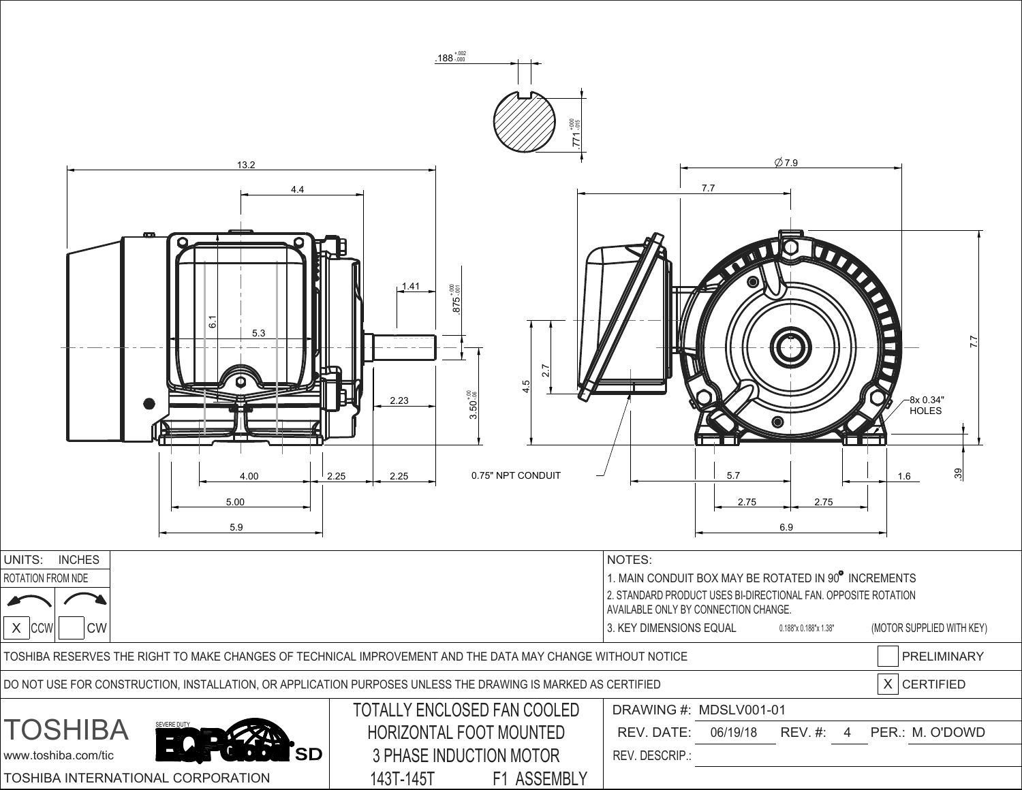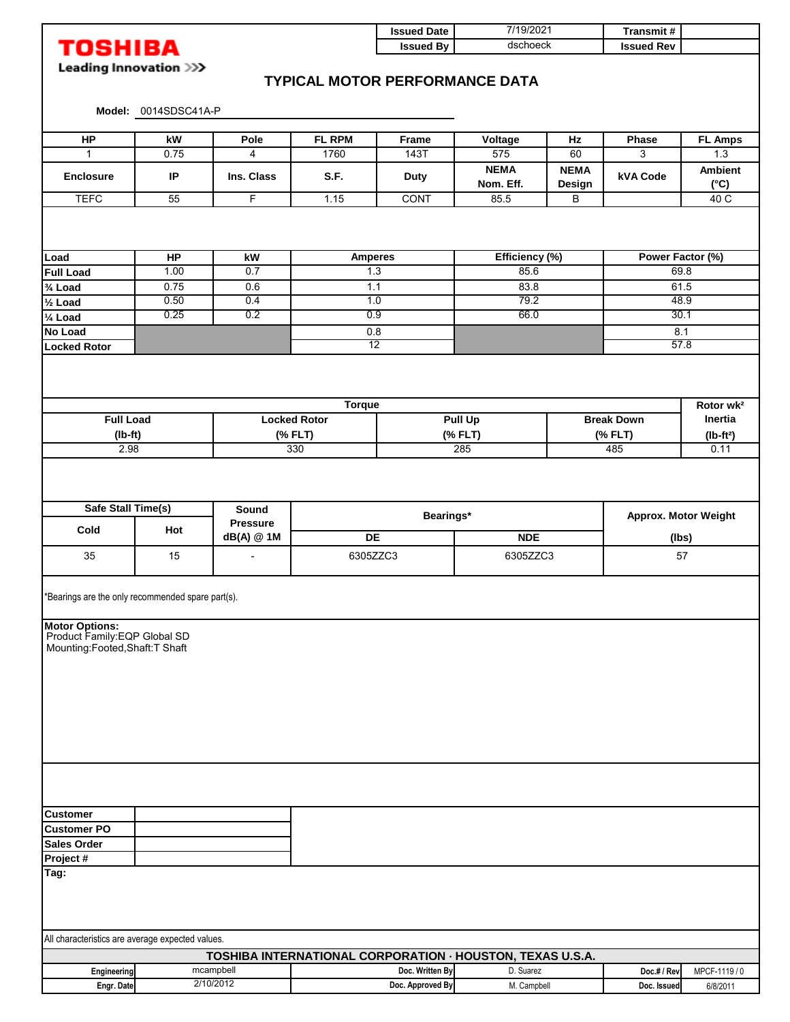|                                                   |                                |                          |                        | <b>Issued Date</b>                                        | 7/19/2021<br>dschoeck |                       | Transmit#                    |                       |  |
|---------------------------------------------------|--------------------------------|--------------------------|------------------------|-----------------------------------------------------------|-----------------------|-----------------------|------------------------------|-----------------------|--|
| <b>TOSHIBA</b>                                    |                                |                          |                        | <b>Issued By</b>                                          |                       |                       | <b>Issued Rev</b>            |                       |  |
|                                                   | Leading Innovation >>>         |                          |                        |                                                           |                       |                       |                              |                       |  |
|                                                   |                                |                          |                        | <b>TYPICAL MOTOR PERFORMANCE DATA</b>                     |                       |                       |                              |                       |  |
|                                                   |                                |                          |                        |                                                           |                       |                       |                              |                       |  |
|                                                   | Model: 0014SDSC41A-P           |                          |                        |                                                           |                       |                       |                              |                       |  |
| <b>HP</b>                                         | kW                             | Pole                     | FL RPM                 | Frame                                                     | Voltage               | Hz                    | Phase                        | <b>FL Amps</b>        |  |
| $\mathbf{1}$                                      | 0.75                           | 4                        | 1760                   | 143T                                                      | 575                   | 60                    | 3                            | 1.3                   |  |
|                                                   |                                |                          |                        |                                                           | <b>NEMA</b>           | <b>NEMA</b>           |                              | <b>Ambient</b>        |  |
| <b>Enclosure</b>                                  | IP                             | Ins. Class               | S.F.                   | <b>Duty</b>                                               | Nom. Eff.             | Design                | <b>kVA Code</b>              | $(^{\circ}C)$         |  |
| <b>TEFC</b>                                       | 55                             | F                        | 1.15                   | CONT                                                      | 85.5                  | B                     |                              | 40 C                  |  |
|                                                   |                                |                          |                        |                                                           |                       |                       |                              |                       |  |
|                                                   |                                |                          |                        |                                                           |                       |                       |                              |                       |  |
|                                                   |                                |                          |                        |                                                           |                       |                       |                              |                       |  |
| Load                                              | <b>HP</b>                      | kW                       | <b>Amperes</b>         |                                                           | Efficiency (%)        |                       | Power Factor (%)             |                       |  |
| <b>Full Load</b>                                  | 1.00                           | 0.7                      | 1.3                    |                                                           | 85.6                  |                       | 69.8                         |                       |  |
| 3/4 Load                                          | 0.75                           | 0.6                      | 1.1                    |                                                           | 83.8                  |                       | 61.5                         |                       |  |
| $\frac{1}{2}$ Load                                | 0.50                           | 0.4                      | 1.0                    |                                                           | 79.2                  |                       | 48.9                         |                       |  |
| $\overline{\frac{1}{2}}$ Load                     | 0.25                           | 0.2                      | 0.9                    |                                                           | 66.0                  |                       | 30.1                         |                       |  |
| No Load                                           |                                |                          | 0.8<br>$\overline{12}$ |                                                           |                       |                       | 8.1<br>57.8                  |                       |  |
| <b>Locked Rotor</b>                               |                                |                          |                        |                                                           |                       |                       |                              |                       |  |
|                                                   |                                |                          |                        |                                                           |                       |                       |                              |                       |  |
|                                                   |                                |                          |                        |                                                           |                       |                       |                              |                       |  |
|                                                   |                                |                          | <b>Torque</b>          |                                                           |                       |                       |                              | Rotor wk <sup>2</sup> |  |
| <b>Full Load</b>                                  |                                |                          | <b>Locked Rotor</b>    | <b>Pull Up</b>                                            |                       |                       | <b>Break Down</b><br>Inertia |                       |  |
|                                                   |                                | (% FLT)                  |                        | (% FLT)                                                   |                       | (% FLT)<br>$(lb-ft2)$ |                              |                       |  |
| $(lb-ft)$<br>2.98                                 |                                | 330                      |                        | 285                                                       |                       | 485<br>0.11           |                              |                       |  |
|                                                   |                                |                          |                        |                                                           |                       |                       |                              |                       |  |
|                                                   |                                |                          |                        |                                                           |                       |                       |                              |                       |  |
| Safe Stall Time(s)                                |                                | Sound<br><b>Pressure</b> |                        | Bearings*                                                 |                       |                       | Approx. Motor Weight         |                       |  |
| Cold                                              | Hot<br>dB(A) @ 1M<br><b>DE</b> |                          | <b>NDE</b>             |                                                           |                       | (lbs)                 |                              |                       |  |
|                                                   |                                |                          | 6305ZZC3               |                                                           | 6305ZZC3              |                       | 57                           |                       |  |
| 35                                                | 15                             |                          |                        |                                                           |                       |                       |                              |                       |  |
|                                                   |                                |                          |                        |                                                           |                       |                       |                              |                       |  |
| *Bearings are the only recommended spare part(s). |                                |                          |                        |                                                           |                       |                       |                              |                       |  |
|                                                   |                                |                          |                        |                                                           |                       |                       |                              |                       |  |
|                                                   |                                |                          |                        |                                                           |                       |                       |                              |                       |  |
| Motor Options:<br>Product Family:EQP Global SD    |                                |                          |                        |                                                           |                       |                       |                              |                       |  |
| Mounting:Footed,Shaft:T Shaft                     |                                |                          |                        |                                                           |                       |                       |                              |                       |  |
|                                                   |                                |                          |                        |                                                           |                       |                       |                              |                       |  |
|                                                   |                                |                          |                        |                                                           |                       |                       |                              |                       |  |
|                                                   |                                |                          |                        |                                                           |                       |                       |                              |                       |  |
|                                                   |                                |                          |                        |                                                           |                       |                       |                              |                       |  |
|                                                   |                                |                          |                        |                                                           |                       |                       |                              |                       |  |
|                                                   |                                |                          |                        |                                                           |                       |                       |                              |                       |  |
|                                                   |                                |                          |                        |                                                           |                       |                       |                              |                       |  |
|                                                   |                                |                          |                        |                                                           |                       |                       |                              |                       |  |
|                                                   |                                |                          |                        |                                                           |                       |                       |                              |                       |  |
|                                                   |                                |                          |                        |                                                           |                       |                       |                              |                       |  |
| <b>Customer</b><br><b>Customer PO</b>             |                                |                          |                        |                                                           |                       |                       |                              |                       |  |
| <b>Sales Order</b>                                |                                |                          |                        |                                                           |                       |                       |                              |                       |  |
| Project #                                         |                                |                          |                        |                                                           |                       |                       |                              |                       |  |
| Tag:                                              |                                |                          |                        |                                                           |                       |                       |                              |                       |  |
|                                                   |                                |                          |                        |                                                           |                       |                       |                              |                       |  |
|                                                   |                                |                          |                        |                                                           |                       |                       |                              |                       |  |
|                                                   |                                |                          |                        |                                                           |                       |                       |                              |                       |  |
|                                                   |                                |                          |                        |                                                           |                       |                       |                              |                       |  |
| All characteristics are average expected values.  |                                |                          |                        |                                                           |                       |                       |                              |                       |  |
|                                                   |                                |                          |                        | TOSHIBA INTERNATIONAL CORPORATION · HOUSTON, TEXAS U.S.A. |                       |                       |                              |                       |  |
| Engineering                                       |                                | mcampbell                |                        | Doc. Written By                                           | D. Suarez             |                       | Doc.# / Rev                  | MPCF-1119 / 0         |  |

**Engr. Date Doc. Issued** 6/8/2011 **Doc. Approved By**

2/10/2012

M. Campbell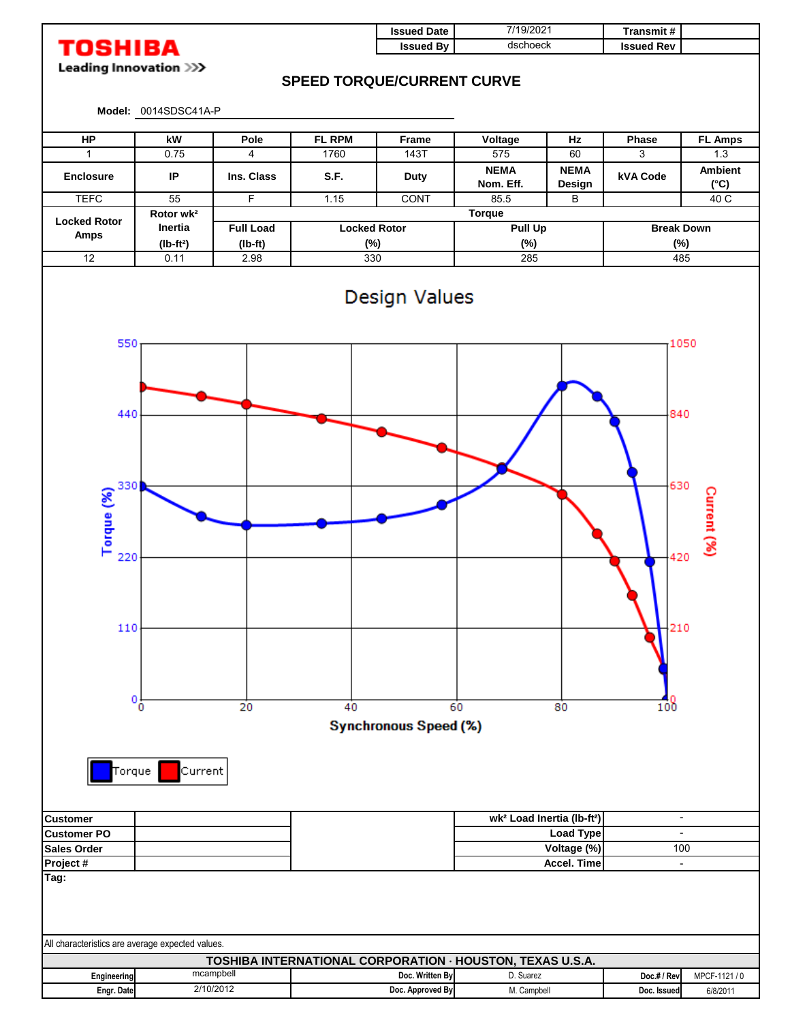